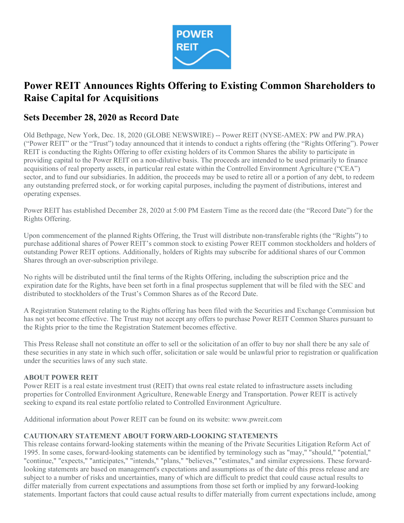

# Power REIT Announces Rights Offering to Existing Common Shareholders to Raise Capital for Acquisitions

# Sets December 28, 2020 as Record Date

Old Bethpage, New York, Dec. 18, 2020 (GLOBE NEWSWIRE) -- Power REIT (NYSE-AMEX: PW and PW.PRA) ("Power REIT" or the "Trust") today announced that it intends to conduct a rights offering (the "Rights Offering"). Power REIT is conducting the Rights Offering to offer existing holders of its Common Shares the ability to participate in providing capital to the Power REIT on a non-dilutive basis. The proceeds are intended to be used primarily to finance acquisitions of real property assets, in particular real estate within the Controlled Environment Agriculture ("CEA") sector, and to fund our subsidiaries. In addition, the proceeds may be used to retire all or a portion of any debt, to redeem any outstanding preferred stock, or for working capital purposes, including the payment of distributions, interest and operating expenses.

Power REIT has established December 28, 2020 at 5:00 PM Eastern Time as the record date (the "Record Date") for the Rights Offering.

Upon commencement of the planned Rights Offering, the Trust will distribute non-transferable rights (the "Rights") to purchase additional shares of Power REIT's common stock to existing Power REIT common stockholders and holders of outstanding Power REIT options. Additionally, holders of Rights may subscribe for additional shares of our Common Shares through an over-subscription privilege.

No rights will be distributed until the final terms of the Rights Offering, including the subscription price and the expiration date for the Rights, have been set forth in a final prospectus supplement that will be filed with the SEC and distributed to stockholders of the Trust's Common Shares as of the Record Date.

A Registration Statement relating to the Rights offering has been filed with the Securities and Exchange Commission but has not yet become effective. The Trust may not accept any offers to purchase Power REIT Common Shares pursuant to the Rights prior to the time the Registration Statement becomes effective.

This Press Release shall not constitute an offer to sell or the solicitation of an offer to buy nor shall there be any sale of these securities in any state in which such offer, solicitation or sale would be unlawful prior to registration or qualification under the securities laws of any such state.

#### ABOUT POWER REIT

Power REIT is a real estate investment trust (REIT) that owns real estate related to infrastructure assets including properties for Controlled Environment Agriculture, Renewable Energy and Transportation. Power REIT is actively seeking to expand its real estate portfolio related to Controlled Environment Agriculture.

Additional information about Power REIT can be found on its website: www.pwreit.com

## CAUTIONARY STATEMENT ABOUT FORWARD-LOOKING STATEMENTS

This release contains forward-looking statements within the meaning of the Private Securities Litigation Reform Act of 1995. In some cases, forward-looking statements can be identified by terminology such as "may," "should," "potential," "continue," "expects," "anticipates," "intends," "plans," "believes," "estimates," and similar expressions. These forwardlooking statements are based on management's expectations and assumptions as of the date of this press release and are subject to a number of risks and uncertainties, many of which are difficult to predict that could cause actual results to differ materially from current expectations and assumptions from those set forth or implied by any forward-looking statements. Important factors that could cause actual results to differ materially from current expectations include, among